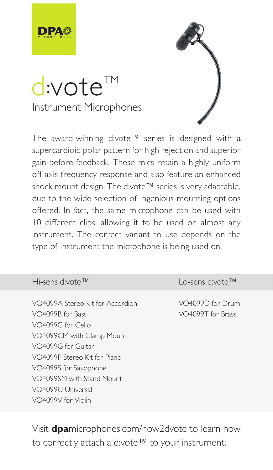

# d:vote<sup>™</sup> Instrument Microphones

The award-winning d:vote™ series is designed with a supercardioid polar pattern for high rejection and superior gain-before-feedback. These mics retain a highly uniform off-axis frequency response and also feature an enhanced shock mount design. The d:vote™ series is very adaptable, due to the wide selection of ingenious mounting options offered. In fact, the same microphone can be used with 10 different clips, allowing it to be used on almost any instrument. The correct variant to use depends on the type of instrument the microphone is being used on.

# Hi-sens d:vote™

VO4099A Stereo Kit for Accordion VO4099R for Race VO4099C for Cello VO4099CM with Clamp Mount VO4099G for Guitar VO4099P Stereo Kit for Piano VO4099S for Saxophone VO4099SM with Stand Mount VO4099U Universal VO4099V for Violin

Lo-sens d:vote™

VO4099D for Drum VO4099T for Brass

Visit **dpa**microphones.com/how2dvote to learn how to correctly attach a d:vote™ to your instrument.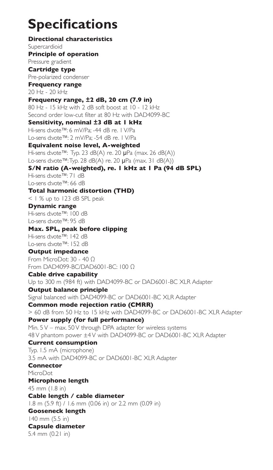# **Specifications**

**Directional characteristics** Supercardioid **Principle of operation** Pressure gradient **Cartridge type** Pre-polarized condenser **Frequency range** 20 Hz - 20 kHz **Frequency range, ±2 dB, 20 cm (7.9 in)** 80 Hz - 15 kHz with 2 dB soft boost at 10 - 12 kHz Second order low-cut filter at 80 Hz with DAD4099-BC **Sensitivity, nominal ±3 dB at 1 kHz** Hi-sens d:vote™: 6 mV/Pa; -44 dB re. 1 V/Pa Lo-sens d:vote™: 2 mV/Pa; -54 dB re. 1 V/Pa **Equivalent noise level, A-weighted** Hi-sens d:vote™: Typ. 23 dB(A) re. 20 µPa (max. 26 dB(A)) Lo-sens d:vote™: Typ. 28 dB(A) re. 20 µPa (max. 31 dB(A)) **S/N ratio (A-weighted), re. 1 kHz at 1 Pa (94 dB SPL)** Hi-sens d:vote™: 71 dB Lo-sens d:vote™: 66 dB **Total harmonic distortion (THD)** < 1 % up to 123 dB SPL peak **Dynamic range** Hi-sens d:vote™: 100 dB Lo-sens d:vote™: 95 dB **Max. SPL, peak before clipping** Hi-sens d:vote™: 142 dB Lo-sens d:vote™: 152 dB **Output impedance** From MicroDot: 30 - 40 Ω From DAD4099-BC/DAD6001-BC: 100 Ω **Cable drive capability** Up to 300 m (984 ft) with DAD4099-BC or DAD6001-BC XLR Adapter **Output balance principle** Signal balanced with DAD4099-BC or DAD6001-BC XLR Adapter **Common mode rejection ratio (CMRR)** > 60 dB from 50 Hz to 15 kHz with DAD4099-BC or DAD6001-BC XLR Adapter **Power supply (for full performance)** Min. 5 V – max. 50 V through DPA adapter for wireless systems 48 V phantom power ±4 V with DAD4099-BC or DAD6001-BC XLR Adapter **Current consumption** Typ. 1.5 mA (microphone) 3.5 mA with DAD4099-BC or DAD6001-BC XLR Adapter **Connector** MicroDot **Microphone length** 45 mm (1.8 in) **Cable length / cable diameter** 1.8 m (5.9 ft) / 1.6 mm (0.06 in) or 2.2 mm (0.09 in) **Gooseneck length**  140 mm (5.5 in) **Capsule diameter** 5.4 mm (0.21 in)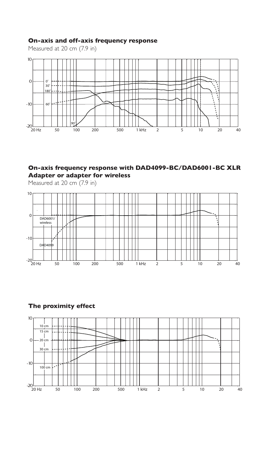# **On-axis and off-axis frequency response**

Measured at 20 cm (7.9 in)



# **On-axis frequency response with DAD4099-BC/DAD6001-BC XLR Adapter or adapter for wireless**

Measured at 20 cm (7.9 in)



# **The proximity effect**